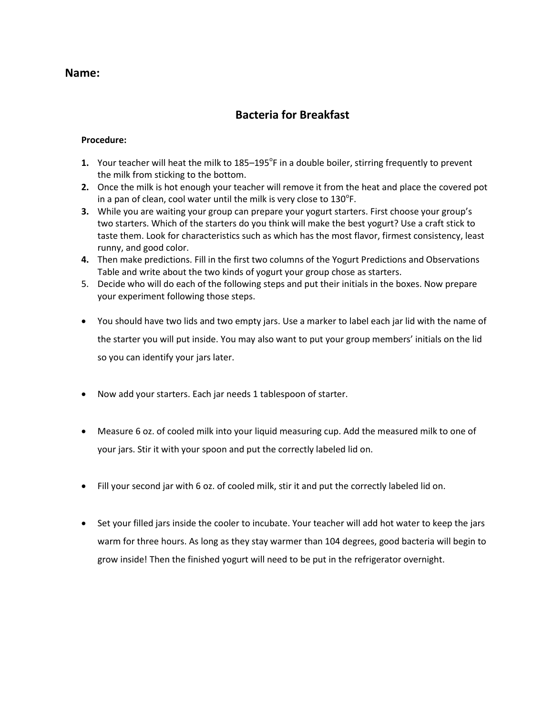### **Name:**

### **Bacteria for Breakfast**

#### **Procedure:**

- 1. Your teacher will heat the milk to 185–195<sup>°</sup>F in a double boiler, stirring frequently to prevent the milk from sticking to the bottom.
- **2.** Once the milk is hot enough your teacher will remove it from the heat and place the covered pot in a pan of clean, cool water until the milk is very close to  $130^{\circ}$ F.
- **3.** While you are waiting your group can prepare your yogurt starters. First choose your group's two starters. Which of the starters do you think will make the best yogurt? Use a craft stick to taste them. Look for characteristics such as which has the most flavor, firmest consistency, least runny, and good color.
- **4.** Then make predictions. Fill in the first two columns of the Yogurt Predictions and Observations Table and write about the two kinds of yogurt your group chose as starters.
- 5. Decide who will do each of the following steps and put their initials in the boxes. Now prepare your experiment following those steps.
- You should have two lids and two empty jars. Use a marker to label each jar lid with the name of the starter you will put inside. You may also want to put your group members' initials on the lid so you can identify your jars later.
- Now add your starters. Each jar needs 1 tablespoon of starter.
- Measure 6 oz. of cooled milk into your liquid measuring cup. Add the measured milk to one of your jars. Stir it with your spoon and put the correctly labeled lid on.
- Fill your second jar with 6 oz. of cooled milk, stir it and put the correctly labeled lid on.
- Set your filled jars inside the cooler to incubate. Your teacher will add hot water to keep the jars warm for three hours. As long as they stay warmer than 104 degrees, good bacteria will begin to grow inside! Then the finished yogurt will need to be put in the refrigerator overnight.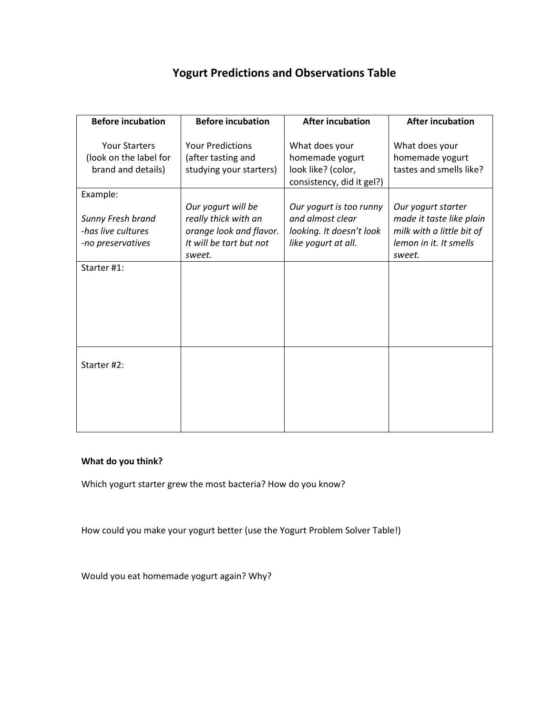## **Yogurt Predictions and Observations Table**

| <b>Before incubation</b>                                                 | <b>Before incubation</b>                                                                                   | <b>After incubation</b>                                                                        | <b>After incubation</b>                                                                                         |
|--------------------------------------------------------------------------|------------------------------------------------------------------------------------------------------------|------------------------------------------------------------------------------------------------|-----------------------------------------------------------------------------------------------------------------|
| <b>Your Starters</b><br>(look on the label for<br>brand and details)     | <b>Your Predictions</b><br>(after tasting and<br>studying your starters)                                   | What does your<br>homemade yogurt<br>look like? (color,<br>consistency, did it gel?)           | What does your<br>homemade yogurt<br>tastes and smells like?                                                    |
| Example:<br>Sunny Fresh brand<br>-has live cultures<br>-no preservatives | Our yogurt will be<br>really thick with an<br>orange look and flavor.<br>It will be tart but not<br>sweet. | Our yogurt is too runny<br>and almost clear<br>looking. It doesn't look<br>like yogurt at all. | Our yogurt starter<br>made it taste like plain<br>milk with a little bit of<br>lemon in it. It smells<br>sweet. |
| Starter #1:                                                              |                                                                                                            |                                                                                                |                                                                                                                 |
| Starter #2:                                                              |                                                                                                            |                                                                                                |                                                                                                                 |

#### **What do you think?**

Which yogurt starter grew the most bacteria? How do you know?

How could you make your yogurt better (use the Yogurt Problem Solver Table!)

Would you eat homemade yogurt again? Why?